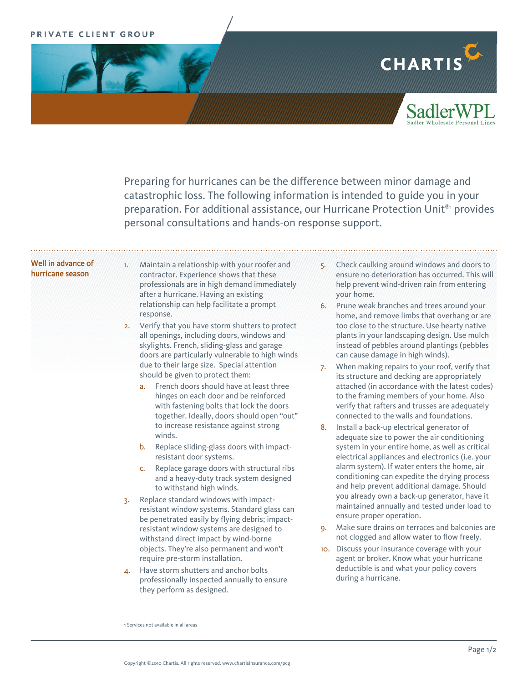# PRIVATE CLIENT GROUP



Preparing for hurricanes can be the difference between minor damage and catastrophic loss. The following information is intended to guide you in your preparation. For additional assistance, our Hurricane Protection Unit®1 provides personal consultations and hands-on response support.

# Well in advance of hurricane season

1. Maintain a relationship with your roofer and contractor. Experience shows that these professionals are in high demand immediately after a hurricane. Having an existing relationship can help facilitate a prompt response.

- 2. Verify that you have storm shutters to protect all openings, including doors, windows and skylights. French, sliding-glass and garage doors are particularly vulnerable to high winds due to their large size. Special attention should be given to protect them:
	- a. French doors should have at least three hinges on each door and be reinforced with fastening bolts that lock the doors together. Ideally, doors should open "out" to increase resistance against strong winds.
	- b. Replace sliding-glass doors with impactresistant door systems.
	- c. Replace garage doors with structural ribs and a heavy-duty track system designed to withstand high winds.
- 3. Replace standard windows with impactresistant window systems. Standard glass can be penetrated easily by flying debris; impactresistant window systems are designed to withstand direct impact by wind-borne objects. They're also permanent and won't require pre-storm installation.
- 4. Have storm shutters and anchor bolts professionally inspected annually to ensure they perform as designed.
- 5. Check caulking around windows and doors to ensure no deterioration has occurred. This will help prevent wind-driven rain from entering your home.
- 6. Prune weak branches and trees around your home, and remove limbs that overhang or are too close to the structure. Use hearty native plants in your landscaping design. Use mulch instead of pebbles around plantings (pebbles can cause damage in high winds).
- 7. When making repairs to your roof, verify that its structure and decking are appropriately attached (in accordance with the latest codes) to the framing members of your home. Also verify that rafters and trusses are adequately connected to the walls and foundations.
- 8. Install a back-up electrical generator of adequate size to power the air conditioning system in your entire home, as well as critical electrical appliances and electronics (i.e. your alarm system). If water enters the home, air conditioning can expedite the drying process and help prevent additional damage. Should you already own a back-up generator, have it maintained annually and tested under load to ensure proper operation.
- 9. Make sure drains on terraces and balconies are not clogged and allow water to flow freely.
- 10. Discuss your insurance coverage with your agent or broker. Know what your hurricane deductible is and what your policy covers during a hurricane.

<sup>1</sup> Services not available in all areas